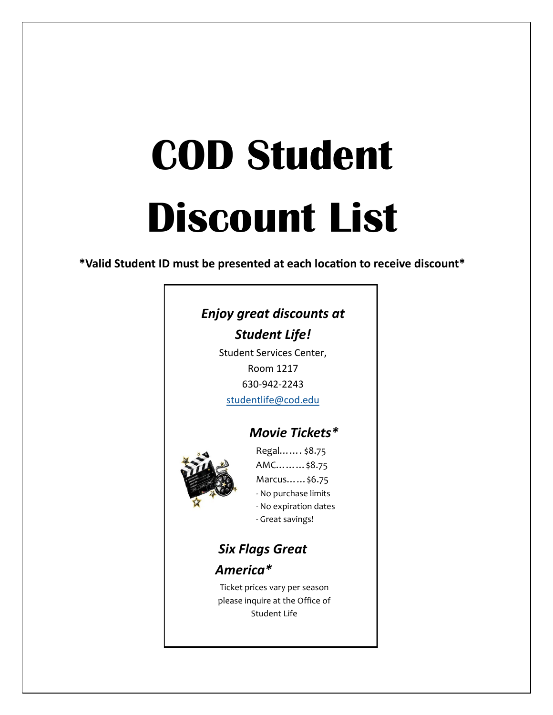# **COD Student Discount List**

**\*Valid Student ID must be presented at each loca�on to receive discount\***

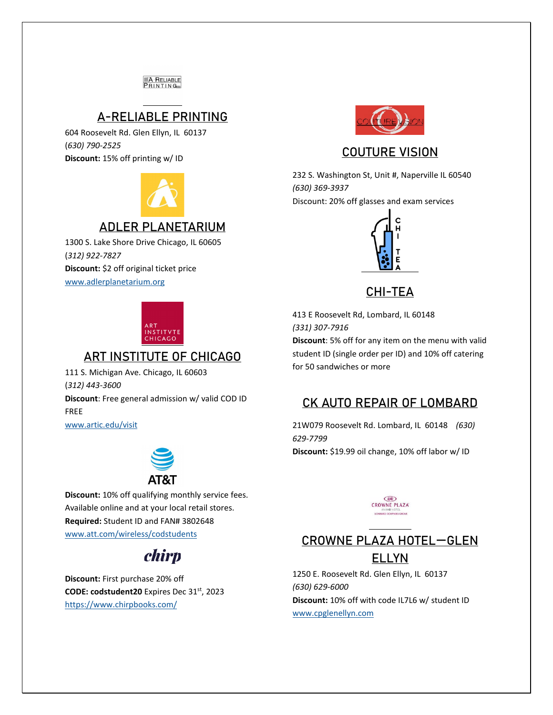## A RELIABLE

#### A-RELIABLE PRINTING

604 Roosevelt Rd. Glen Ellyn, IL 60137 (*630) 790-2525* **Discount:** 15% off printing w/ ID



### ADLER PLANETARIUM

1300 S. Lake Shore Drive Chicago, IL 60605 (*312) 922-7827* **Discount:** \$2 off original ticket price [www.adlerplanetarium.org](http://www.adlerplanetarium.org/) 



#### ART INSTITUTE OF CHICAGO

111 S. Michigan Ave. Chicago, IL 60603 (*312) 443-3600* **Discount**: Free general admission w/ valid COD ID FREE

[www.artic.edu/visit](http://www.artic.edu/visit) 



**Discount:** 10% off qualifying monthly service fees. Available online and at your local retail stores. **Required:** Student ID and FAN# 3802648 [www.att.com/wireless/codstudents](http://www.att.com/wireless/codstudents)

# *chirp*

**Discount:** First purchase 20% off **CODE: codstudent20** Expires Dec 31st, 2023 <https://www.chirpbooks.com/>



#### COUTURE VISION

232 S. Washington St, Unit #, Naperville IL 60540 *(630) 369-3937* Discount: 20% off glasses and exam services



CHI-TEA

413 E Roosevelt Rd, Lombard, IL 60148 *(331) 307-7916*

**Discount**: 5% off for any item on the menu with valid student ID (single order per ID) and 10% off catering for 50 sandwiches or more

### CK AUTO REPAIR OF LOMBARD

21W079 Roosevelt Rd. Lombard, IL 60148 *(630) 629-7799* **Discount:** \$19.99 oil change, 10% off labor w/ ID



## CROWNE PLAZA HOTEL—GLEN ELLYN

1250 E. Roosevelt Rd. Glen Ellyn, IL 60137 *(630) 629-6000* **Discount:** 10% off with code IL7L6 w/ student ID [www.cpglenellyn.com](http://www.cpglenellyn.com/)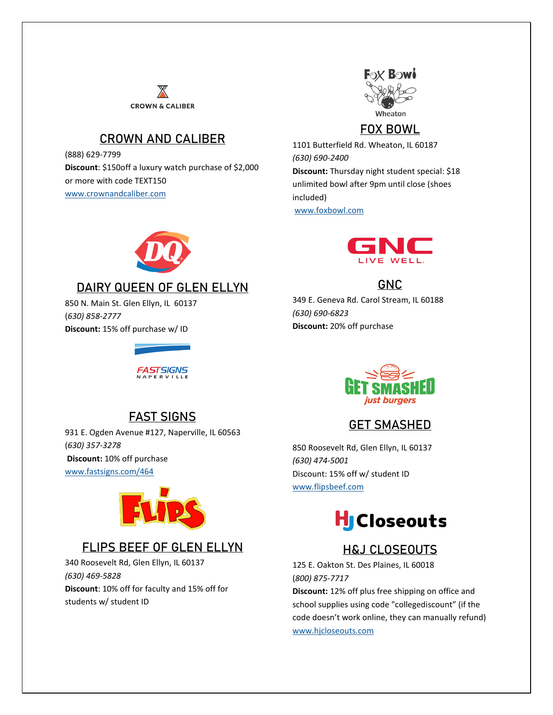

#### CROWN AND CALIBER

(888) 629-7799 **Discount**: \$150off a luxury watch purchase of \$2,000 or more with code TEXT150 [www.crownandcaliber.com](http://www.crownandcaliber.com/)



### FOX BOWL

1101 Butterfield Rd. Wheaton, IL 60187 *(630) 690-2400*  **Discount:** Thursday night student special: \$18 unlimited bowl after 9pm until close (shoes included) [www.foxbowl.com](http://www.foxbowl.com/)



### DAIRY QUEEN OF GLEN ELLYN

850 N. Main St. Glen Ellyn, IL 60137 (*630) 858-2777* **Discount:** 15% off purchase w/ ID

## **FASTSIGNS**



## GNC

349 E. Geneva Rd. Carol Stream, IL 60188 *(630) 690-6823* **Discount:** 20% off purchase



## GET SMASHED

850 Roosevelt Rd, Glen Ellyn, IL 60137 *(630) 474-5001* Discount: 15% off w/ student ID [www.flipsbeef.com](http://www.flipsbeef.com/)



## H&J CLOSEOUTS

125 E. Oakton St. Des Plaines, IL 60018 (*800) 875-7717*

**Discount:** 12% off plus free shipping on office and school supplies using code "collegediscount" (if the code doesn't work online, they can manually refund) [www.hjcloseouts.com](http://www.hjcloseouts.com/)

## FAST SIGNS

931 E. Ogden Avenue #127, Naperville, IL 60563 (*630) 357-3278* **Discount:** 10% off purchase

[www.fastsigns.com/464](http://www.fastsigns.com/464)



## FLIPS BEEF OF GLEN ELLYN

340 Roosevelt Rd, Glen Ellyn, IL 60137 *(630) 469-5828* **Discount**: 10% off for faculty and 15% off for students w/ student ID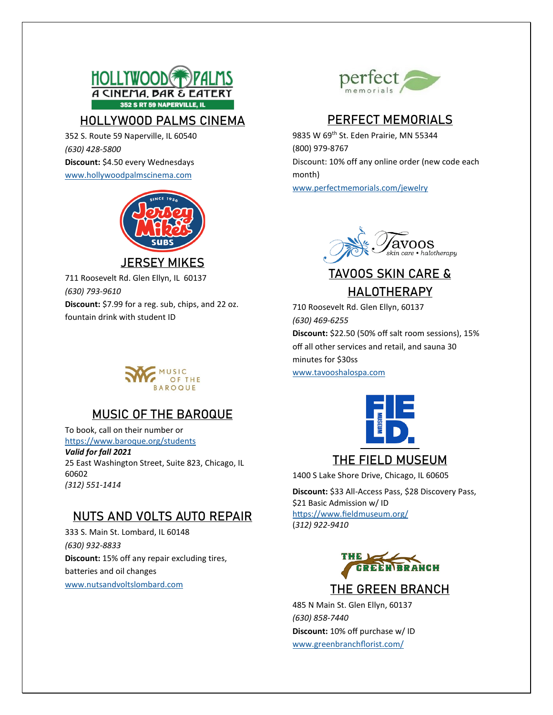

## HOLLYWOOD PALMS CINEMA

352 S. Route 59 Naperville, IL 60540 *(630) 428-5800* **Discount:** \$4.50 every Wednesdays [www.hollywoodpalmscinema.com](http://www.hollywoodpalmscinema.com/) 



JERSEY MIKES

711 Roosevelt Rd. Glen Ellyn, IL 60137 *(630) 793-9610* **Discount:** \$7.99 for a reg. sub, chips, and 22 oz. fountain drink with student ID



## MUSIC OF THE BAROQUE

To book, call on their number or <https://www.baroque.org/students> *Valid for fall 2021* 25 East Washington Street, Suite 823, Chicago, IL 60602 *(312) 551-1414*

### NUTS AND VOLTS AUTO REPAIR

333 S. Main St. Lombard, IL 60148 *(630) 932-8833* **Discount:** 15% off any repair excluding tires, batteries and oil changes [www.nutsandvoltslombard.com](http://www.nutsandvoltslombard.com/)



## PERFECT MEMORIALS

9835 W 69th St. Eden Prairie, MN 55344 (800) 979-8767 Discount: 10% off any online order (new code each month) [www.perfectmemorials.com/jewelry](http://www.perfectmemorials.com/jewelry) 



## TAVOOS SKIN CARE & **HALOTHERAPY**

710 Roosevelt Rd. Glen Ellyn, 60137 *(630) 469-6255* **Discount:** \$22.50 (50% off salt room sessions), 15% off all other services and retail, and sauna 30 minutes for \$30ss [www.tavooshalospa.com](http://www.tavooshalospa.com/) 



1400 S Lake Shore Drive, Chicago, IL 60605

**Discount:** \$33 All-Access Pass, \$28 Discovery Pass, \$21 Basic Admission w/ ID https://www.fieldmuseum.org/ (*312) 922-9410*



### THE GREEN BRANCH

485 N Main St. Glen Ellyn, 60137 *(630) 858-7440* **Discount:** 10% off purchase w/ ID [www.greenbranchflorist.com/](http://www.greenbranchflorist.com/)